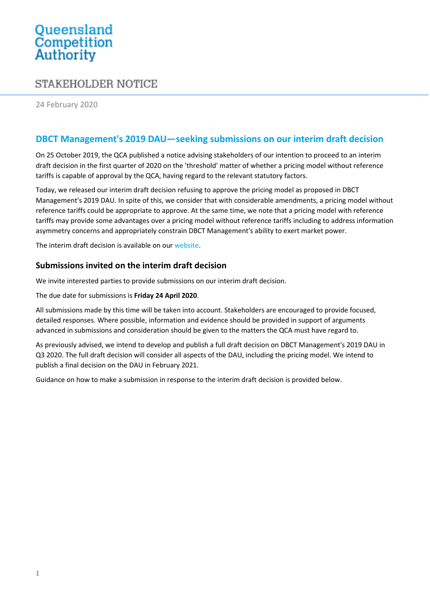# Queensland<br>Competition Authority

## STAKEHOLDER NOTICE

24 February 2020

### **DBCT Management's 2019 DAU—seeking submissions on our interim draft decision**

On 25 October 2019, the QCA published a notice advising stakeholders of our intention to proceed to an interim draft decision in the first quarter of 2020 on the 'threshold' matter of whether a pricing model without reference tariffs is capable of approval by the QCA, having regard to the relevant statutory factors.

Today, we released our interim draft decision refusing to approve the pricing model as proposed in DBCT Management's 2019 DAU. In spite of this, we consider that with considerable amendments, a pricing model without reference tariffs could be appropriate to approve. At the same time, we note that a pricing model with reference tariffs may provide some advantages over a pricing model without reference tariffs including to address information asymmetry concerns and appropriately constrain DBCT Management's ability to exert market power.

The interim draft decision is available on our [website.](https://www.qca.org.au/project/dalrymple-bay-coal-terminal/2019-draft-access-undertaking/)

#### **Submissions invited on the interim draft decision**

We invite interested parties to provide submissions on our interim draft decision.

The due date for submissions is **Friday 24 April 2020**.

All submissions made by this time will be taken into account. Stakeholders are encouraged to provide focused, detailed responses. Where possible, information and evidence should be provided in support of arguments advanced in submissions and consideration should be given to the matters the QCA must have regard to.

As previously advised, we intend to develop and publish a full draft decision on DBCT Management's 2019 DAU in Q3 2020. The full draft decision will consider all aspects of the DAU, including the pricing model. We intend to publish a final decision on the DAU in February 2021.

Guidance on how to make a submission in response to the interim draft decision is provided below.